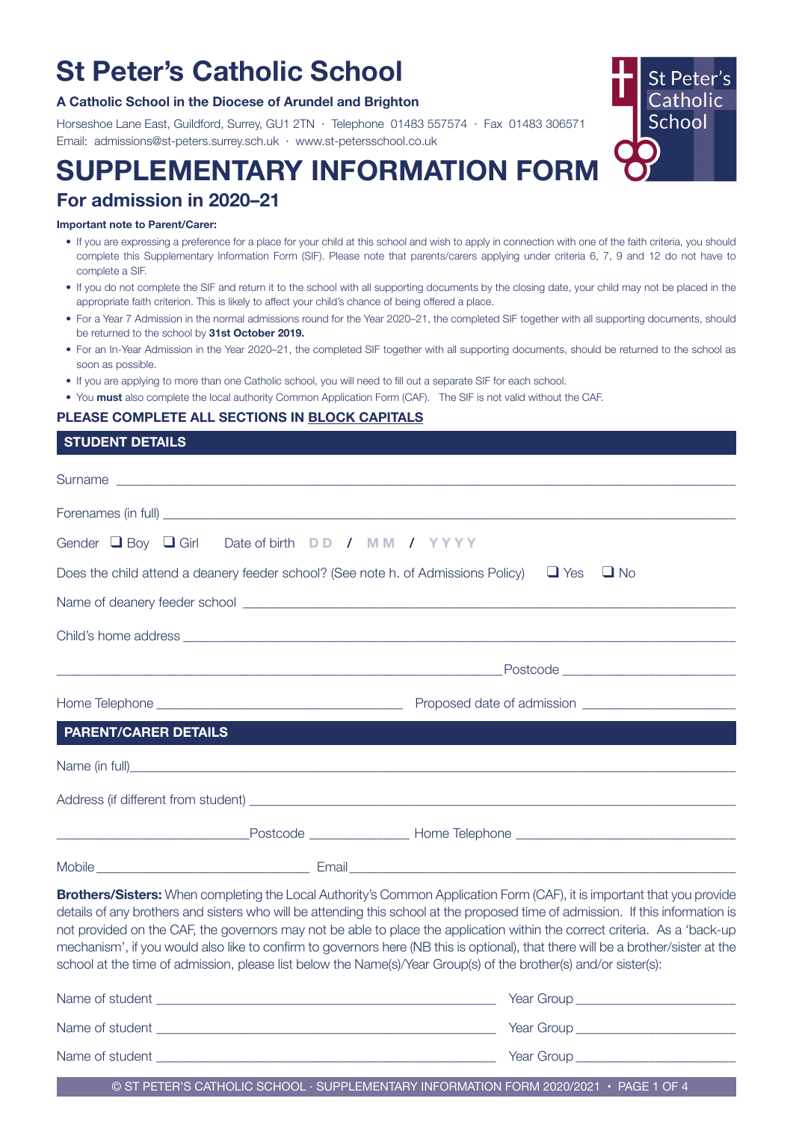## **St Peter's Catholic School**

#### **A Catholic School in the Diocese of Arundel and Brighton**

Horseshoe Lane East, Guildford, Surrey, GU1 2TN · Telephone 01483 557574 · Fax 01483 306571 Email: admissions@st-peters.surrey.sch.uk · www.st-petersschool.co.uk



# **SUPPLEMENTARY INFORMATION FORM**

### **For admission in 2020–21**

#### **Important note to Parent/Carer:**

- If you are expressing a preference for a place for your child at this school and wish to apply in connection with one of the faith criteria, you should complete this Supplementary Information Form (SIF). Please note that parents/carers applying under criteria 6, 7, 9 and 12 do not have to complete a SIF.
- If you do not complete the SIF and return it to the school with all supporting documents by the closing date, your child may not be placed in the appropriate faith criterion. This is likely to affect your child's chance of being offered a place.
- For a Year 7 Admission in the normal admissions round for the Year 2020–21, the completed SIF together with all supporting documents, should be returned to the school by **31st October 2019.**
- For an In-Year Admission in the Year 2020–21, the completed SIF together with all supporting documents, should be returned to the school as soon as possible.
- If you are applying to more than one Catholic school, you will need to fill out a separate SIF for each school.
- You **must** also complete the local authority Common Application Form (CAF). The SIF is not valid without the CAF.

#### **PLEASE COMPLETE ALL SECTIONS IN BLOCK CAPITALS**

|  | <b>STUDENT DETAILS</b> |  |
|--|------------------------|--|
|  |                        |  |

| Gender $\Box$ Boy $\Box$ Girl<br>Date of birth DD / MM / YYYY                                                                                                                                                                                                                                                                                                                                                                                                                                                                                                                                                                                            |                         |  |
|----------------------------------------------------------------------------------------------------------------------------------------------------------------------------------------------------------------------------------------------------------------------------------------------------------------------------------------------------------------------------------------------------------------------------------------------------------------------------------------------------------------------------------------------------------------------------------------------------------------------------------------------------------|-------------------------|--|
| Does the child attend a deanery feeder school? (See note h. of Admissions Policy)                                                                                                                                                                                                                                                                                                                                                                                                                                                                                                                                                                        | $\Box$ Yes<br>$\Box$ No |  |
|                                                                                                                                                                                                                                                                                                                                                                                                                                                                                                                                                                                                                                                          |                         |  |
|                                                                                                                                                                                                                                                                                                                                                                                                                                                                                                                                                                                                                                                          |                         |  |
|                                                                                                                                                                                                                                                                                                                                                                                                                                                                                                                                                                                                                                                          |                         |  |
|                                                                                                                                                                                                                                                                                                                                                                                                                                                                                                                                                                                                                                                          |                         |  |
| <b>PARENT/CARER DETAILS</b>                                                                                                                                                                                                                                                                                                                                                                                                                                                                                                                                                                                                                              |                         |  |
|                                                                                                                                                                                                                                                                                                                                                                                                                                                                                                                                                                                                                                                          |                         |  |
|                                                                                                                                                                                                                                                                                                                                                                                                                                                                                                                                                                                                                                                          |                         |  |
|                                                                                                                                                                                                                                                                                                                                                                                                                                                                                                                                                                                                                                                          |                         |  |
|                                                                                                                                                                                                                                                                                                                                                                                                                                                                                                                                                                                                                                                          |                         |  |
| <b>Brothers/Sisters:</b> When completing the Local Authority's Common Application Form (CAF), it is important that you provide<br>details of any brothers and sisters who will be attending this school at the proposed time of admission. If this information is<br>not provided on the CAF, the governors may not be able to place the application within the correct criteria. As a 'back-up<br>mechanism', if you would also like to confirm to governors here (NB this is optional), that there will be a brother/sister at the<br>school at the time of admission, please list below the Name(s)/Year Group(s) of the brother(s) and/or sister(s): |                         |  |
|                                                                                                                                                                                                                                                                                                                                                                                                                                                                                                                                                                                                                                                          |                         |  |
|                                                                                                                                                                                                                                                                                                                                                                                                                                                                                                                                                                                                                                                          |                         |  |
| Name of student <b>contract to the contract of the contract of the contract of the contract of the contract of the contract of the contract of the contract of the contract of the contract of the contract of the contract of t</b>                                                                                                                                                                                                                                                                                                                                                                                                                     |                         |  |

© ST PETER'S CATHOLIC SCHOOL · SUPPLEMENTARY INFORMATION FORM 2020/2021 • PAGE 1 OF 4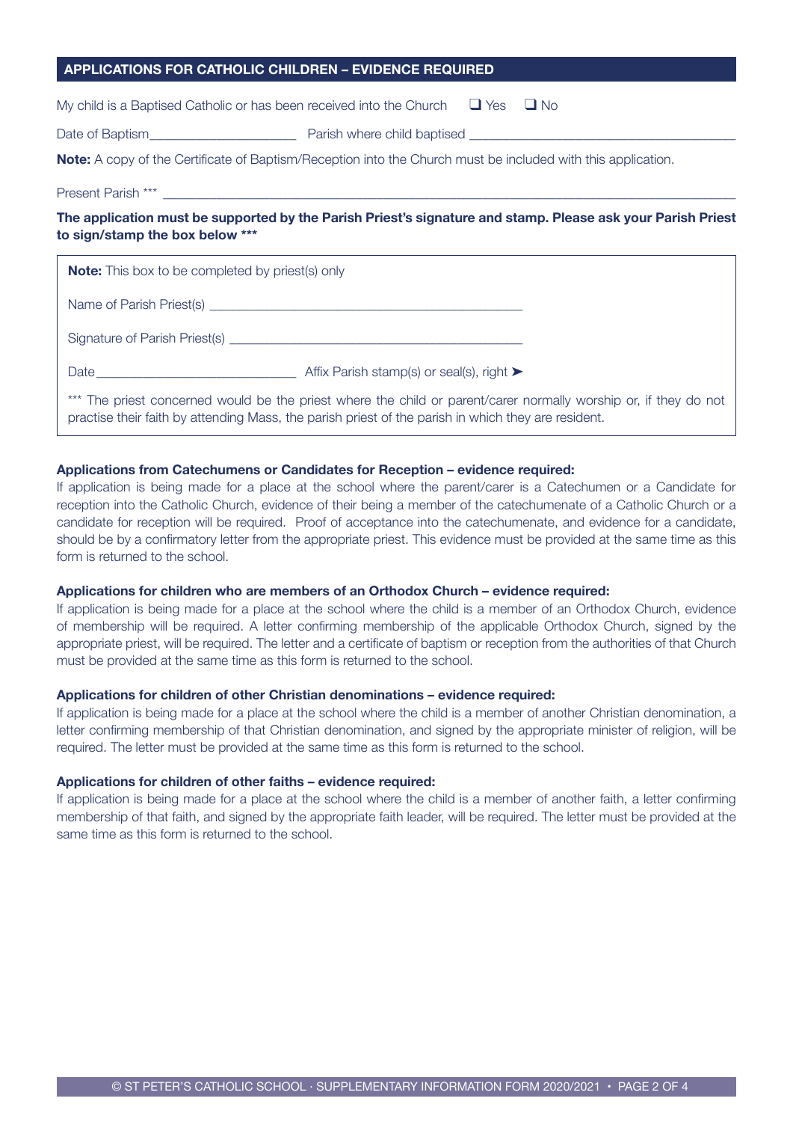#### **APPLICATIONS FOR CATHOLIC CHILDREN – EVIDENCE REQUIRED**

My child is a Baptised Catholic or has been received into the Church  $□$  Yes  $□$  No

Date of Baptism **Date of Baptism Parish where child baptised**  $\blacksquare$ 

**Note:** A copy of the Certificate of Baptism/Reception into the Church must be included with this application.

Present Parish \*\*\*

**The application must be supported by the Parish Priest's signature and stamp. Please ask your Parish Priest to sign/stamp the box below \*\*\***

| <b>Note:</b> This box to be completed by priest(s) only                                                                                                                                                                        |                                                                                                                                                                                                                         |
|--------------------------------------------------------------------------------------------------------------------------------------------------------------------------------------------------------------------------------|-------------------------------------------------------------------------------------------------------------------------------------------------------------------------------------------------------------------------|
|                                                                                                                                                                                                                                |                                                                                                                                                                                                                         |
| Signature of Parish Priest(s) and the state of the state of Parish Priest(s)                                                                                                                                                   |                                                                                                                                                                                                                         |
| Date and the contract of the contract of the contract of the contract of the contract of the contract of the contract of the contract of the contract of the contract of the contract of the contract of the contract of the c | Affix Parish stamp(s) or seal(s), right $\blacktriangleright$                                                                                                                                                           |
|                                                                                                                                                                                                                                | *** The priest concerned would be the priest where the child or parent/carer normally worship or, if they do not<br>practise their faith by attending Mass, the parish priest of the parish in which they are resident. |

#### **Applications from Catechumens or Candidates for Reception – evidence required:**

If application is being made for a place at the school where the parent/carer is a Catechumen or a Candidate for reception into the Catholic Church, evidence of their being a member of the catechumenate of a Catholic Church or a candidate for reception will be required. Proof of acceptance into the catechumenate, and evidence for a candidate, should be by a confirmatory letter from the appropriate priest. This evidence must be provided at the same time as this form is returned to the school.

#### **Applications for children who are members of an Orthodox Church – evidence required:**

If application is being made for a place at the school where the child is a member of an Orthodox Church, evidence of membership will be required. A letter confirming membership of the applicable Orthodox Church, signed by the appropriate priest, will be required. The letter and a certificate of baptism or reception from the authorities of that Church must be provided at the same time as this form is returned to the school.

#### **Applications for children of other Christian denominations – evidence required:**

If application is being made for a place at the school where the child is a member of another Christian denomination, a letter confirming membership of that Christian denomination, and signed by the appropriate minister of religion, will be required. The letter must be provided at the same time as this form is returned to the school.

#### **Applications for children of other faiths – evidence required:**

If application is being made for a place at the school where the child is a member of another faith, a letter confirming membership of that faith, and signed by the appropriate faith leader, will be required. The letter must be provided at the same time as this form is returned to the school.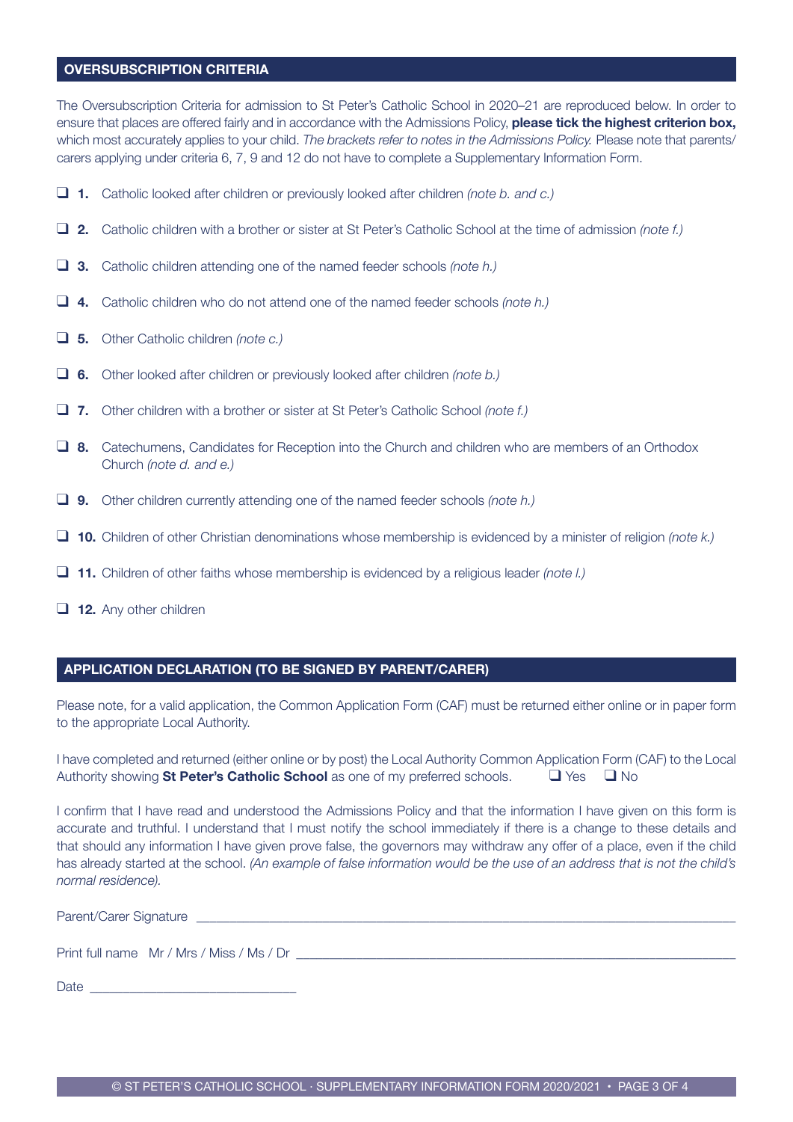#### **OVERSUBSCRIPTION CRITERIA**

The Oversubscription Criteria for admission to St Peter's Catholic School in 2020–21 are reproduced below. In order to ensure that places are offered fairly and in accordance with the Admissions Policy, **please tick the highest criterion box,** which most accurately applies to your child. *The brackets refer to notes in the Admissions Policy.* Please note that parents/ carers applying under criteria 6, 7, 9 and 12 do not have to complete a Supplementary Information Form.

- ❑ **1.** Catholic looked after children or previously looked after children *(note b. and c.)*
- ❑ **2.** Catholic children with a brother or sister at St Peter's Catholic School at the time of admission *(note f.)*
- ❑ **3.** Catholic children attending one of the named feeder schools *(note h.)*
- ❑ **4.** Catholic children who do not attend one of the named feeder schools *(note h.)*
- ❑ **5.** Other Catholic children *(note c.)*
- ❑ **6.** Other looked after children or previously looked after children *(note b.)*
- ❑ **7.** Other children with a brother or sister at St Peter's Catholic School *(note f.)*
- ❑ **8.** Catechumens, Candidates for Reception into the Church and children who are members of an Orthodox Church *(note d. and e.)*
- ❑ **9.** Other children currently attending one of the named feeder schools *(note h.)*
- ❑ **10.** Children of other Christian denominations whose membership is evidenced by a minister of religion *(note k.)*
- ❑ **11.** Children of other faiths whose membership is evidenced by a religious leader *(note l.)*
- ❑ **12.** Any other children

#### **APPLICATION DECLARATION (TO BE SIGNED BY PARENT/CARER)**

Please note, for a valid application, the Common Application Form (CAF) must be returned either online or in paper form to the appropriate Local Authority.

I have completed and returned (either online or by post) the Local Authority Common Application Form (CAF) to the Local Authority showing **St Peter's Catholic School** as one of my preferred schools. ❑ Yes ❑ No

I confirm that I have read and understood the Admissions Policy and that the information I have given on this form is accurate and truthful. I understand that I must notify the school immediately if there is a change to these details and that should any information I have given prove false, the governors may withdraw any offer of a place, even if the child has already started at the school. *(An example of false information would be the use of an address that is not the child's normal residence).*

Parent/Carer Signature

Print full name Mr / Mrs / Miss / Ms / Dr

Date  $\Box$